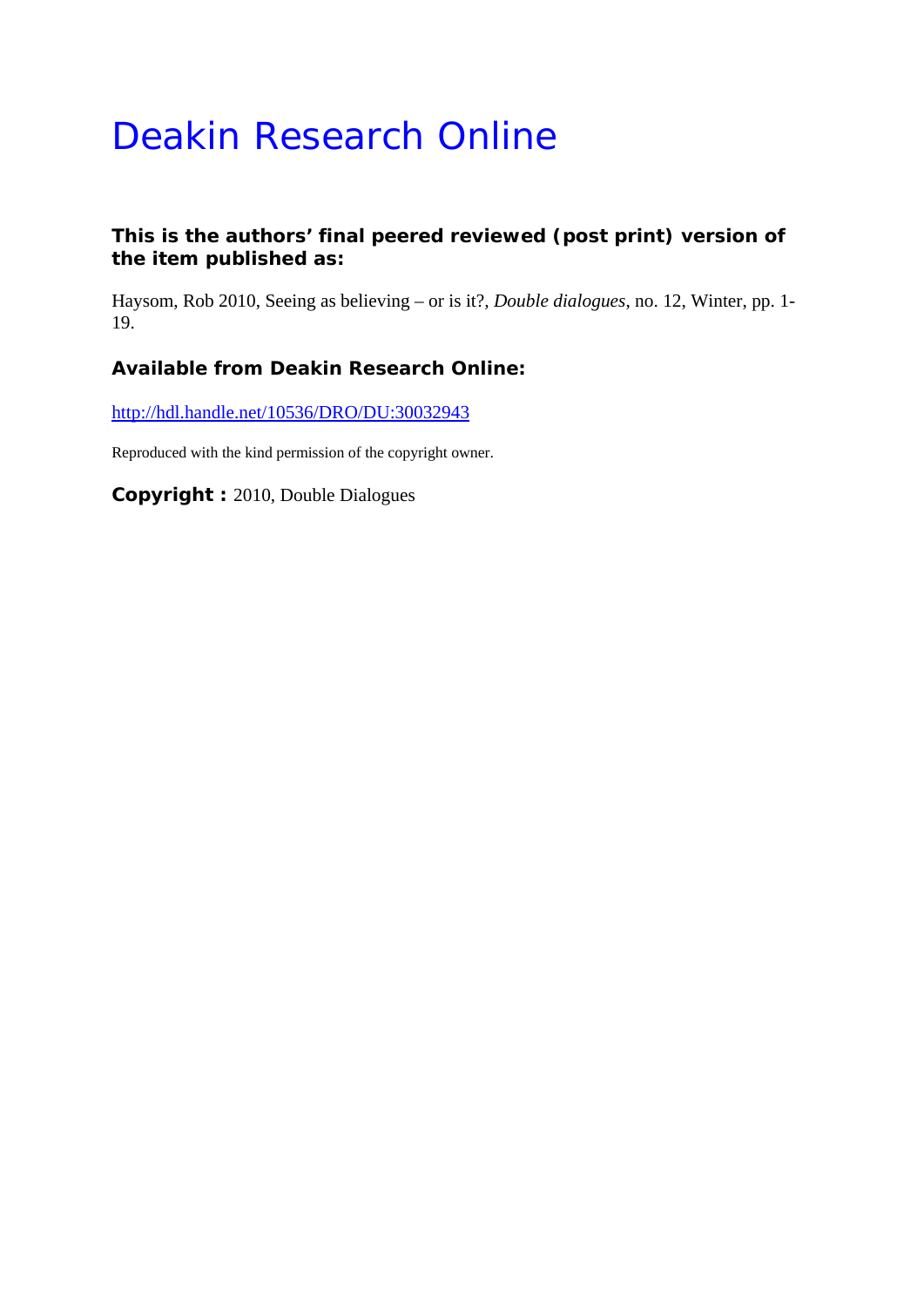# Deakin Research Online

## **This is the authors' final peered reviewed (post print) version of the item published as:**

Haysom, Rob 2010, Seeing as believing – or is it?*, Double dialogues*, no. 12, Winter, pp. 1- 19.

## **Available from Deakin Research Online:**

http://hdl.handle.net/10536/DRO/DU:30032943

Reproduced with the kind permission of the copyright owner.

**Copyright :** 2010, Double Dialogues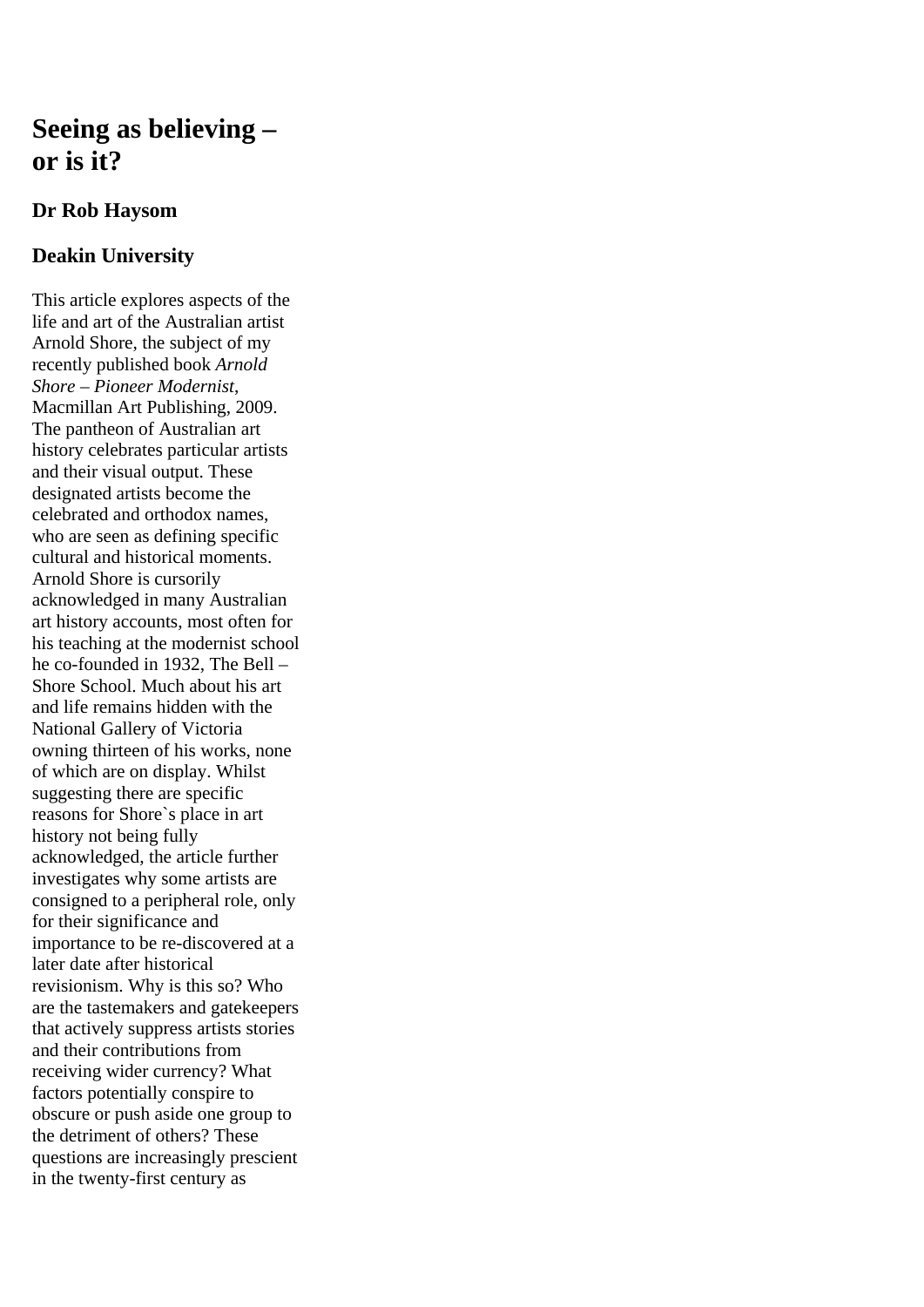## **Seeing as believing – or is it?**

## **Dr Rob Haysom**

## **Deakin University**

This article explores aspects of the life and art of the Australian artist Arnold Shore, the subject of my recently published book *Arnold Shore – Pioneer Modernist*, Macmillan Art Publishing, 2009. The pantheon of Australian art history celebrates particular artists and their visual output. These designated artists become the celebrated and orthodox names, who are seen as defining specific cultural and historical moments. Arnold Shore is cursorily acknowledged in many Australian art history accounts, most often for his teaching at the modernist school he co-founded in 1932, The Bell – Shore School. Much about his art and life remains hidden with the National Gallery of Victoria owning thirteen of his works, none of which are on display. Whilst suggesting there are specific reasons for Shore`s place in art history not being fully acknowledged, the article further investigates why some artists are consigned to a peripheral role, only for their significance and importance to be re-discovered at a later date after historical revisionism. Why is this so? Who are the tastemakers and gatekeepers that actively suppress artists stories and their contributions from receiving wider currency? What factors potentially conspire to obscure or push aside one group to the detriment of others? These questions are increasingly prescient in the twenty-first century as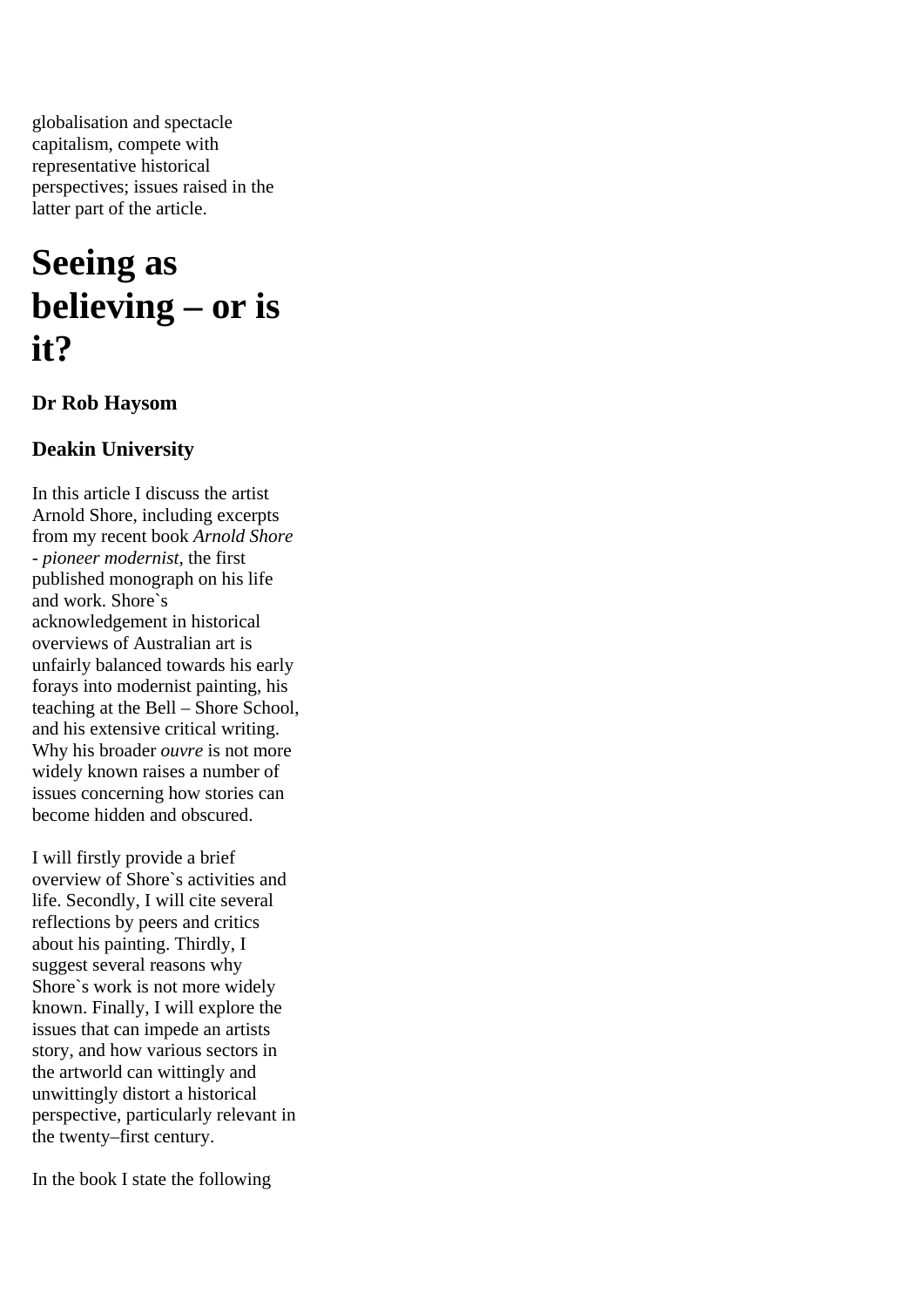globalisation and spectacle capitalism, compete with representative historical perspectives; issues raised in the latter part of the article.

## **Seeing as believing – or is it?**

## **Dr Rob Haysom**

## **Deakin University**

In this article I discuss the artist Arnold Shore, including excerpts from my recent book *Arnold Shore - pioneer modernist*, the first published monograph on his life and work. Shore`s acknowledgement in historical overviews of Australian art is unfairly balanced towards his early forays into modernist painting, his teaching at the Bell – Shore School, and his extensive critical writing. Why his broader *ouvre* is not more widely known raises a number of issues concerning how stories can become hidden and obscured.

I will firstly provide a brief overview of Shore`s activities and life. Secondly, I will cite several reflections by peers and critics about his painting. Thirdly, I suggest several reasons why Shore`s work is not more widely known. Finally, I will explore the issues that can impede an artists story, and how various sectors in the artworld can wittingly and unwittingly distort a historical perspective, particularly relevant in the twenty–first century.

In the book I state the following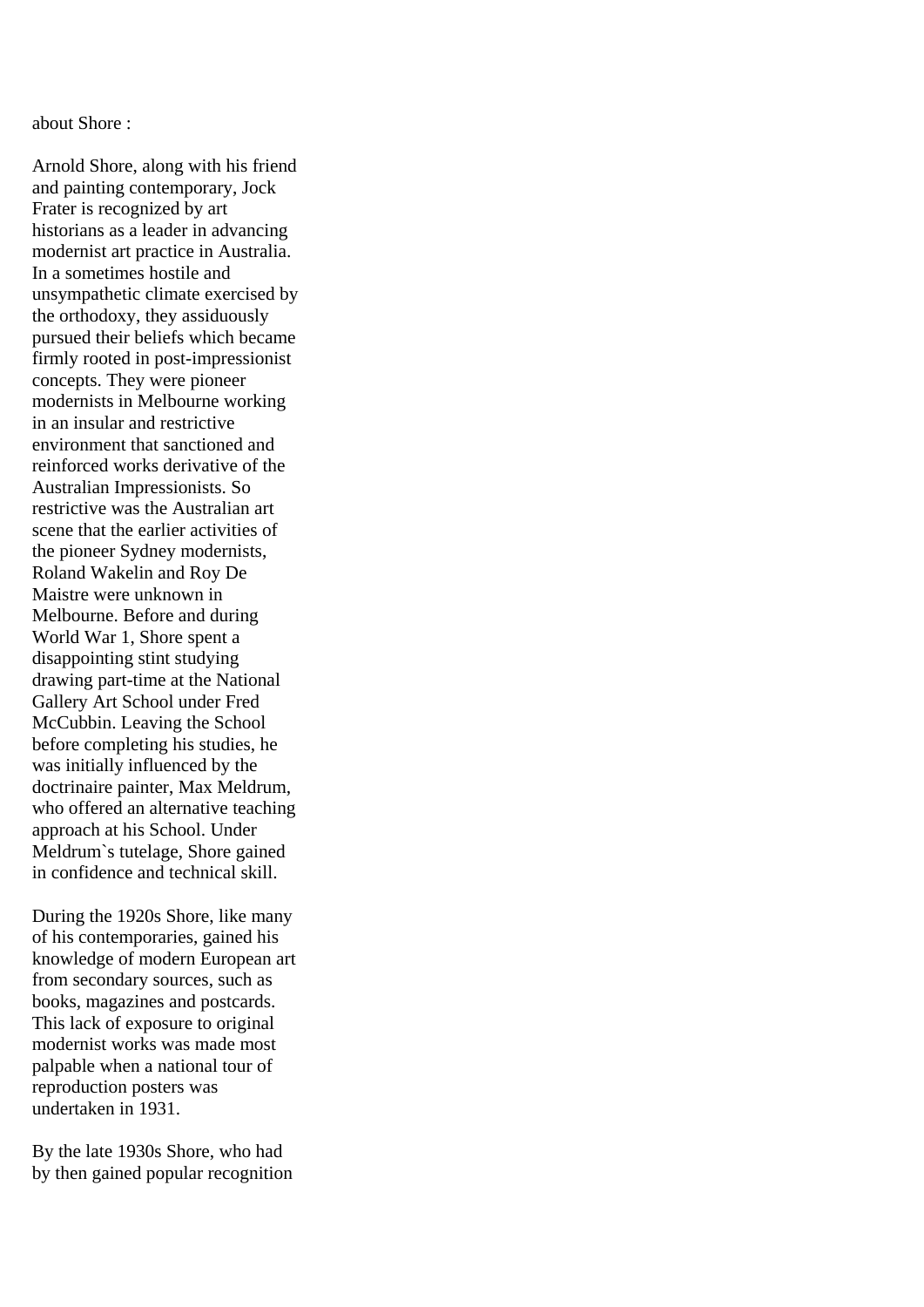about Shore :

Arnold Shore, along with his friend and painting contemporary, Jock Frater is recognized by art historians as a leader in advancing modernist art practice in Australia. In a sometimes hostile and unsympathetic climate exercised by the orthodoxy, they assiduously pursued their beliefs which became firmly rooted in post-impressionist concepts. They were pioneer modernists in Melbourne working in an insular and restrictive environment that sanctioned and reinforced works derivative of the Australian Impressionists. So restrictive was the Australian art scene that the earlier activities of the pioneer Sydney modernists, Roland Wakelin and Roy De Maistre were unknown in Melbourne. Before and during World War 1, Shore spent a disappointing stint studying drawing part-time at the National Gallery Art School under Fred McCubbin. Leaving the School before completing his studies, he was initially influenced by the doctrinaire painter, Max Meldrum, who offered an alternative teaching approach at his School. Under Meldrum`s tutelage, Shore gained in confidence and technical skill.

During the 1920s Shore, like many of his contemporaries, gained his knowledge of modern European art from secondary sources, such as books, magazines and postcards. This lack of exposure to original modernist works was made most palpable when a national tour of reproduction posters was undertaken in 1931.

By the late 1930s Shore, who had by then gained popular recognition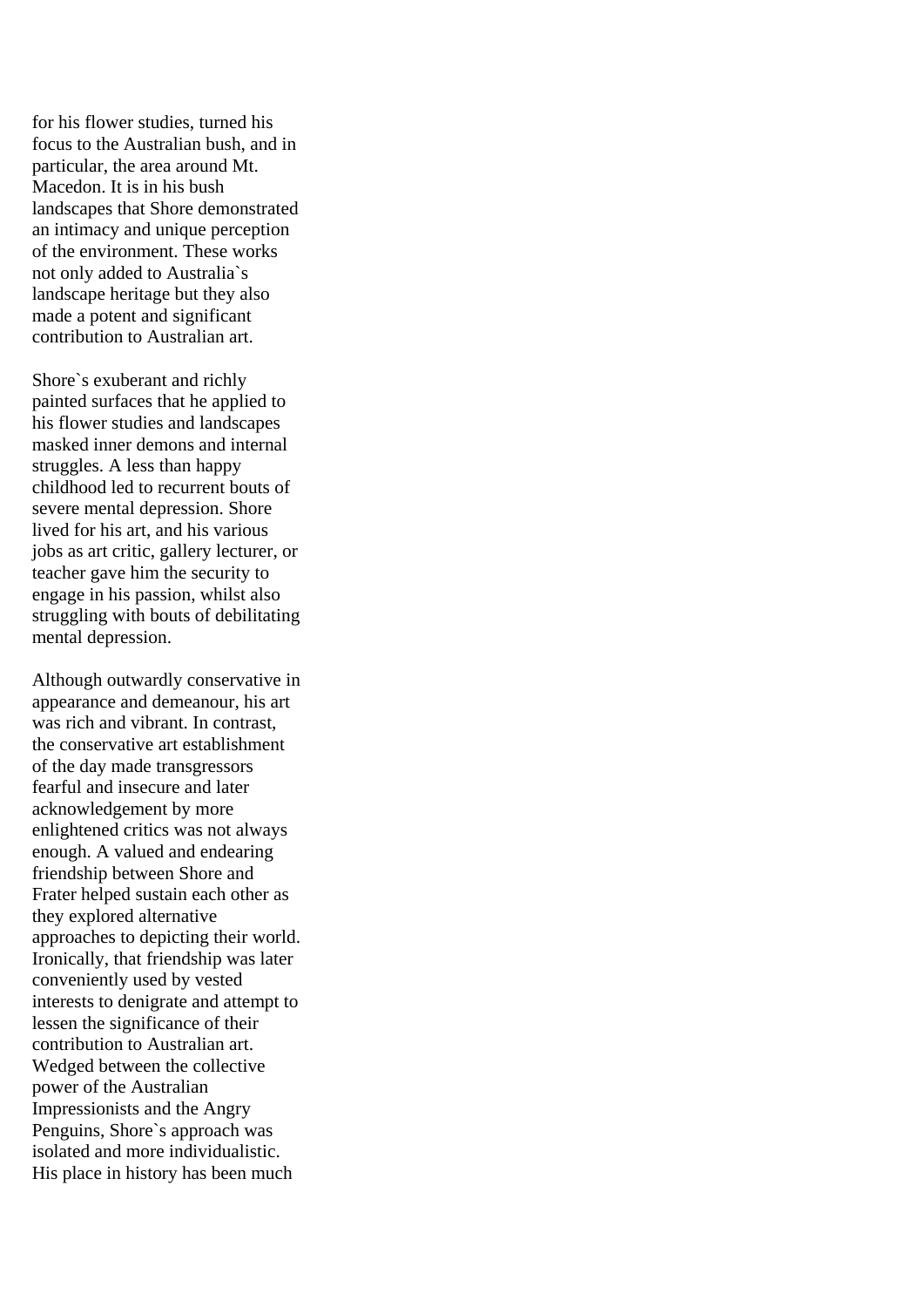for his flower studies, turned his focus to the Australian bush, and in particular, the area around Mt. Macedon. It is in his bush landscapes that Shore demonstrated an intimacy and unique perception of the environment. These works not only added to Australia`s landscape heritage but they also made a potent and significant contribution to Australian art.

Shore`s exuberant and richly painted surfaces that he applied to his flower studies and landscapes masked inner demons and internal struggles. A less than happy childhood led to recurrent bouts of severe mental depression. Shore lived for his art, and his various jobs as art critic, gallery lecturer, or teacher gave him the security to engage in his passion, whilst also struggling with bouts of debilitating mental depression.

Although outwardly conservative in appearance and demeanour, his art was rich and vibrant. In contrast, the conservative art establishment of the day made transgressors fearful and insecure and later acknowledgement by more enlightened critics was not always enough. A valued and endearing friendship between Shore and Frater helped sustain each other as they explored alternative approaches to depicting their world. Ironically, that friendship was later conveniently used by vested interests to denigrate and attempt to lessen the significance of their contribution to Australian art. Wedged between the collective power of the Australian Impressionists and the Angry Penguins, Shore`s approach was isolated and more individualistic. His place in history has been much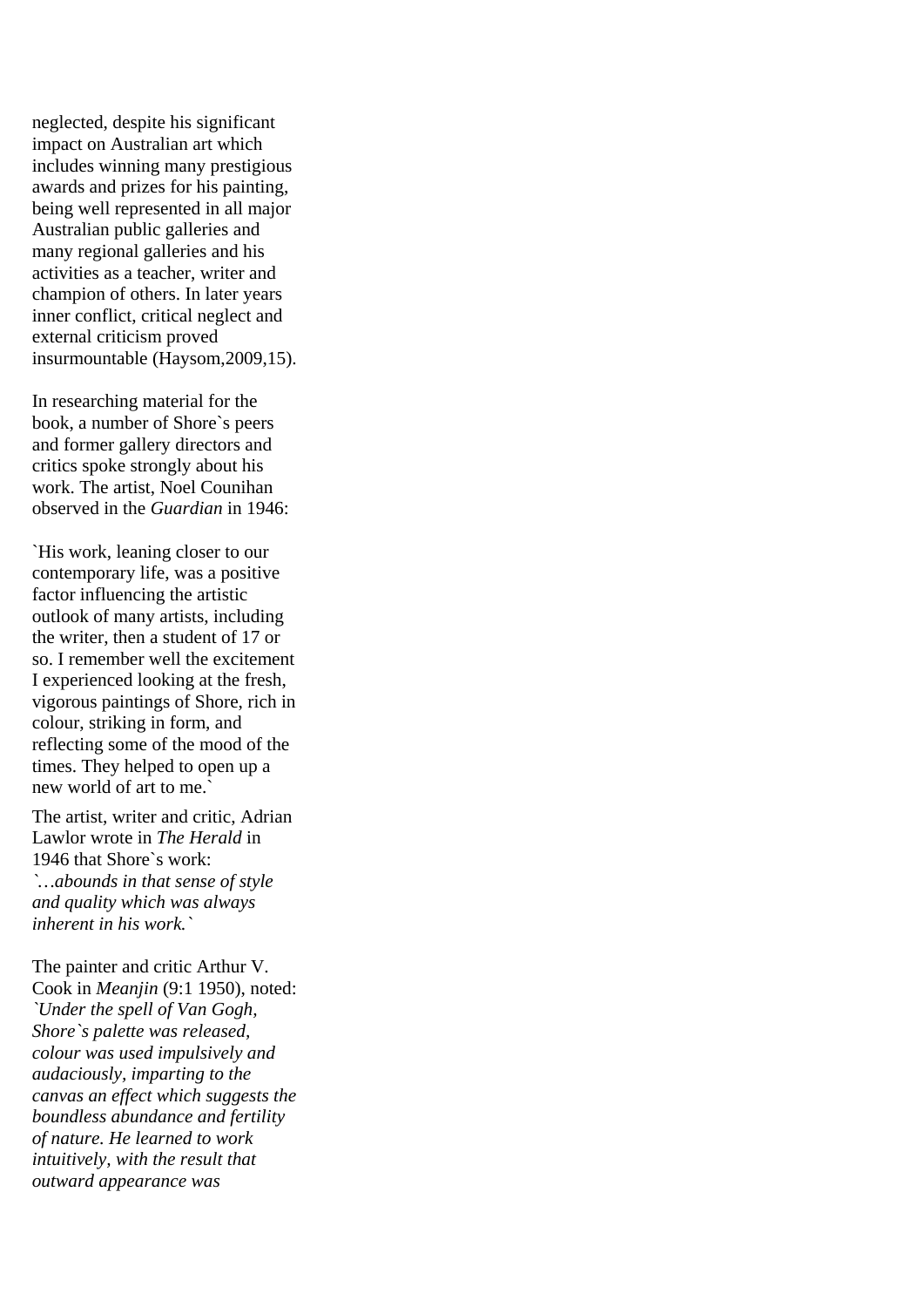neglected, despite his significant impact on Australian art which includes winning many prestigious awards and prizes for his painting, being well represented in all major Australian public galleries and many regional galleries and his activities as a teacher, writer and champion of others. In later years inner conflict, critical neglect and external criticism proved insurmountable (Haysom,2009,15).

In researching material for the book, a number of Shore`s peers and former gallery directors and critics spoke strongly about his work. The artist, Noel Counihan observed in the *Guardian* in 1946:

`His work, leaning closer to our contemporary life, was a positive factor influencing the artistic outlook of many artists, including the writer, then a student of 17 or so. I remember well the excitement I experienced looking at the fresh, vigorous paintings of Shore, rich in colour, striking in form, and reflecting some of the mood of the times. They helped to open up a new world of art to me.`

The artist, writer and critic, Adrian Lawlor wrote in *The Herald* in 1946 that Shore`s work: *`…abounds in that sense of style and quality which was always inherent in his work.`* 

The painter and critic Arthur V. Cook in *Meanjin* (9:1 1950), noted: *`Under the spell of Van Gogh, Shore`s palette was released, colour was used impulsively and audaciously, imparting to the canvas an effect which suggests the boundless abundance and fertility of nature. He learned to work intuitively, with the result that outward appearance was*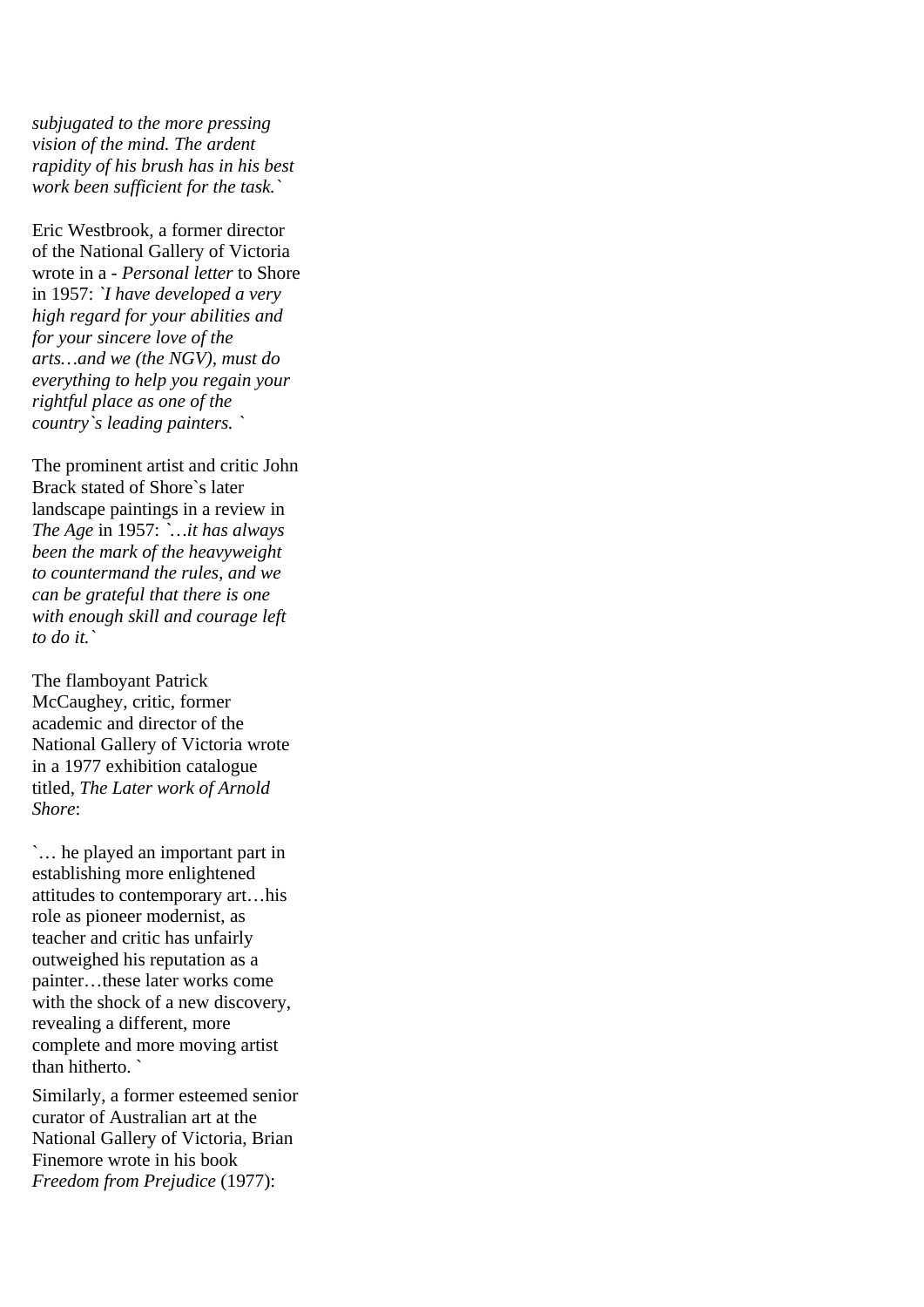*subjugated to the more pressing vision of the mind. The ardent rapidity of his brush has in his best work been sufficient for the task.`* 

Eric Westbrook, a former director of the National Gallery of Victoria wrote in a - *Personal letter* to Shore in 1957: *`I have developed a very high regard for your abilities and for your sincere love of the arts…and we (the NGV), must do everything to help you regain your rightful place as one of the country`s leading painters. `*

The prominent artist and critic John Brack stated of Shore`s later landscape paintings in a review in *The Age* in 1957: *`…it has always been the mark of the heavyweight to countermand the rules, and we can be grateful that there is one with enough skill and courage left to do it.`*

The flamboyant Patrick McCaughey, critic, former academic and director of the National Gallery of Victoria wrote in a 1977 exhibition catalogue titled, *The Later work of Arnold Shore*:

`… he played an important part in establishing more enlightened attitudes to contemporary art…his role as pioneer modernist, as teacher and critic has unfairly outweighed his reputation as a painter…these later works come with the shock of a new discovery. revealing a different, more complete and more moving artist than hitherto. `

Similarly, a former esteemed senior curator of Australian art at the National Gallery of Victoria, Brian Finemore wrote in his book *Freedom from Prejudice* (1977):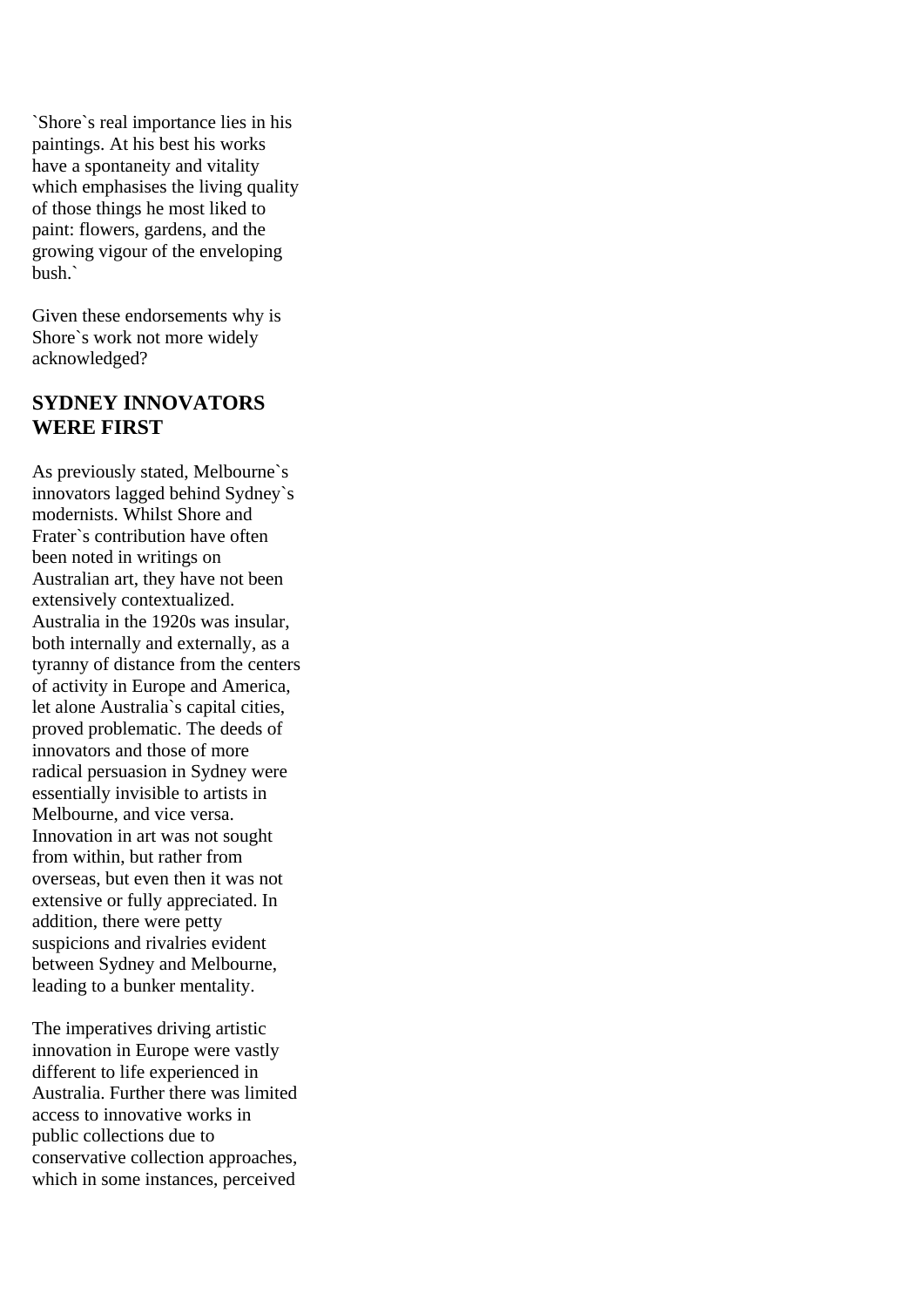`Shore`s real importance lies in his paintings. At his best his works have a spontaneity and vitality which emphasises the living quality of those things he most liked to paint: flowers, gardens, and the growing vigour of the enveloping bush.`

Given these endorsements why is Shore`s work not more widely acknowledged?

## **SYDNEY INNOVATORS WERE FIRST**

As previously stated, Melbourne`s innovators lagged behind Sydney`s modernists. Whilst Shore and Frater`s contribution have often been noted in writings on Australian art, they have not been extensively contextualized. Australia in the 1920s was insular, both internally and externally, as a tyranny of distance from the centers of activity in Europe and America, let alone Australia`s capital cities, proved problematic. The deeds of innovators and those of more radical persuasion in Sydney were essentially invisible to artists in Melbourne, and vice versa. Innovation in art was not sought from within, but rather from overseas, but even then it was not extensive or fully appreciated. In addition, there were petty suspicions and rivalries evident between Sydney and Melbourne, leading to a bunker mentality.

The imperatives driving artistic innovation in Europe were vastly different to life experienced in Australia. Further there was limited access to innovative works in public collections due to conservative collection approaches, which in some instances, perceived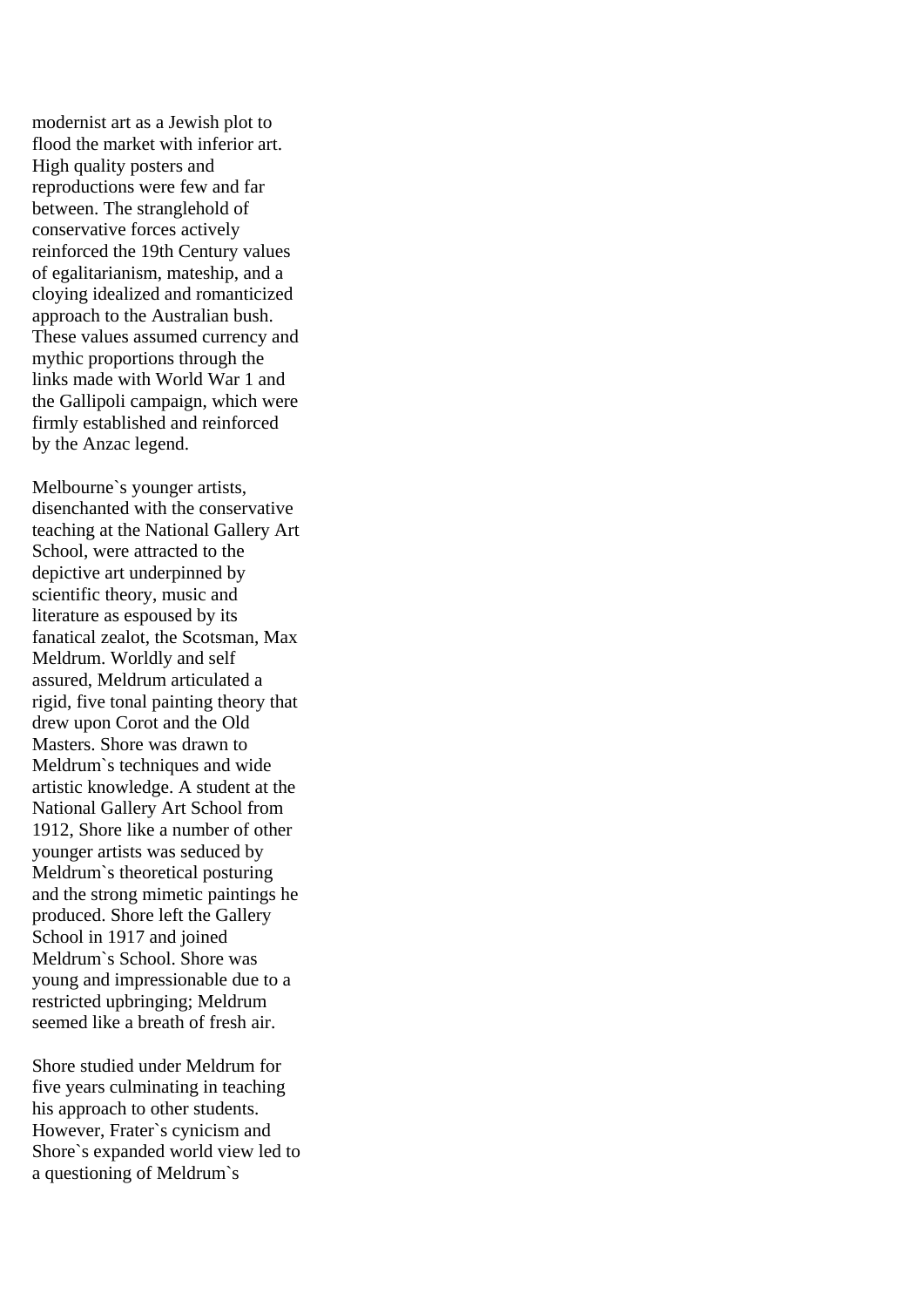modernist art as a Jewish plot to flood the market with inferior art. High quality posters and reproductions were few and far between. The stranglehold of conservative forces actively reinforced the 19th Century values of egalitarianism, mateship, and a cloying idealized and romanticized approach to the Australian bush. These values assumed currency and mythic proportions through the links made with World War 1 and the Gallipoli campaign, which were firmly established and reinforced by the Anzac legend.

Melbourne`s younger artists, disenchanted with the conservative teaching at the National Gallery Art School, were attracted to the depictive art underpinned by scientific theory, music and literature as espoused by its fanatical zealot, the Scotsman, Max Meldrum. Worldly and self assured, Meldrum articulated a rigid, five tonal painting theory that drew upon Corot and the Old Masters. Shore was drawn to Meldrum`s techniques and wide artistic knowledge. A student at the National Gallery Art School from 1912, Shore like a number of other younger artists was seduced by Meldrum`s theoretical posturing and the strong mimetic paintings he produced. Shore left the Gallery School in 1917 and joined Meldrum`s School. Shore was young and impressionable due to a restricted upbringing; Meldrum seemed like a breath of fresh air.

Shore studied under Meldrum for five years culminating in teaching his approach to other students. However, Frater`s cynicism and Shore`s expanded world view led to a questioning of Meldrum`s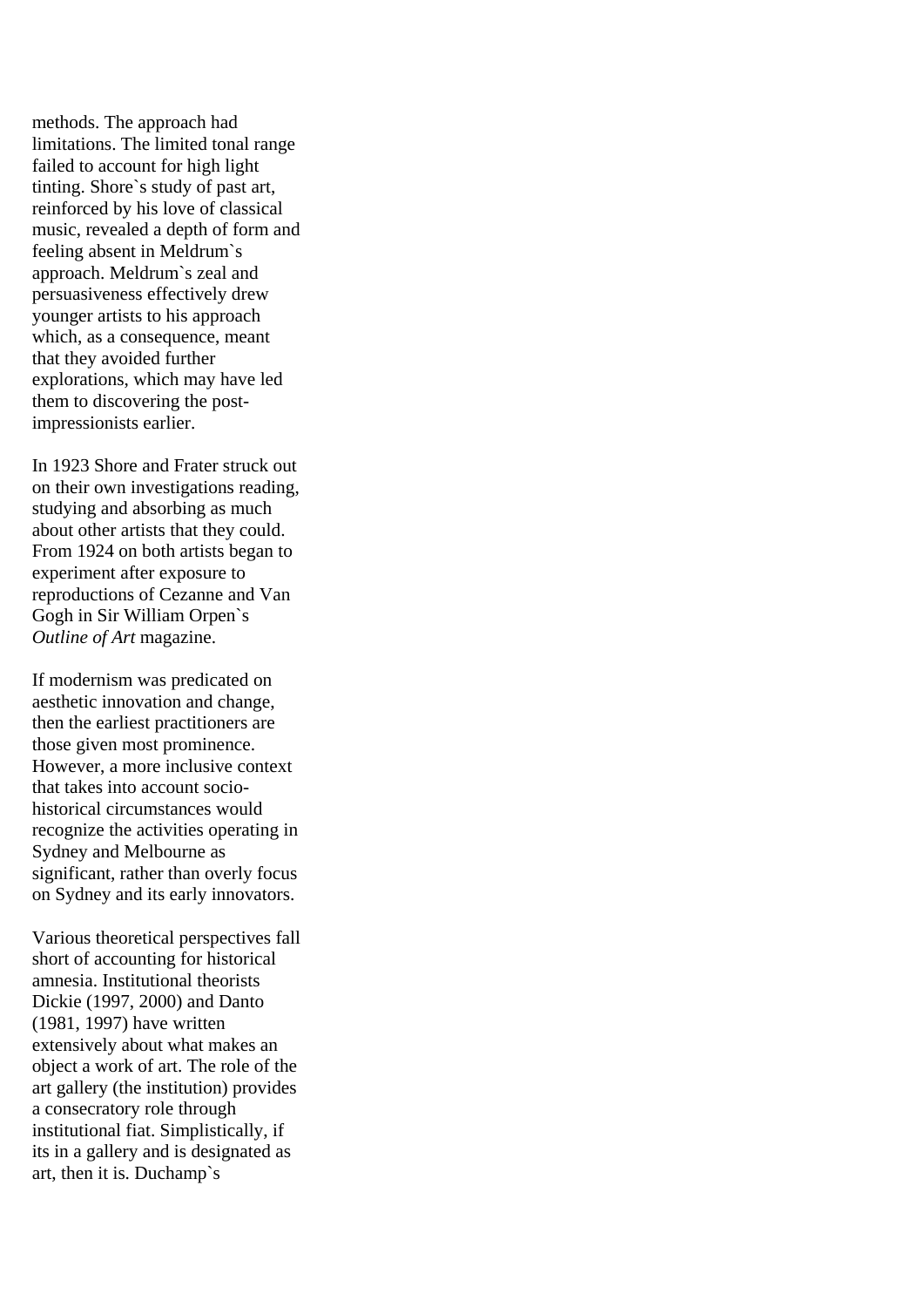methods. The approach had limitations. The limited tonal range failed to account for high light tinting. Shore`s study of past art, reinforced by his love of classical music, revealed a depth of form and feeling absent in Meldrum`s approach. Meldrum`s zeal and persuasiveness effectively drew younger artists to his approach which, as a consequence, meant that they avoided further explorations, which may have led them to discovering the postimpressionists earlier.

In 1923 Shore and Frater struck out on their own investigations reading, studying and absorbing as much about other artists that they could. From 1924 on both artists began to experiment after exposure to reproductions of Cezanne and Van Gogh in Sir William Orpen`s *Outline of Art* magazine.

If modernism was predicated on aesthetic innovation and change, then the earliest practitioners are those given most prominence. However, a more inclusive context that takes into account sociohistorical circumstances would recognize the activities operating in Sydney and Melbourne as significant, rather than overly focus on Sydney and its early innovators.

Various theoretical perspectives fall short of accounting for historical amnesia. Institutional theorists Dickie (1997, 2000) and Danto (1981, 1997) have written extensively about what makes an object a work of art. The role of the art gallery (the institution) provides a consecratory role through institutional fiat. Simplistically, if its in a gallery and is designated as art, then it is. Duchamp`s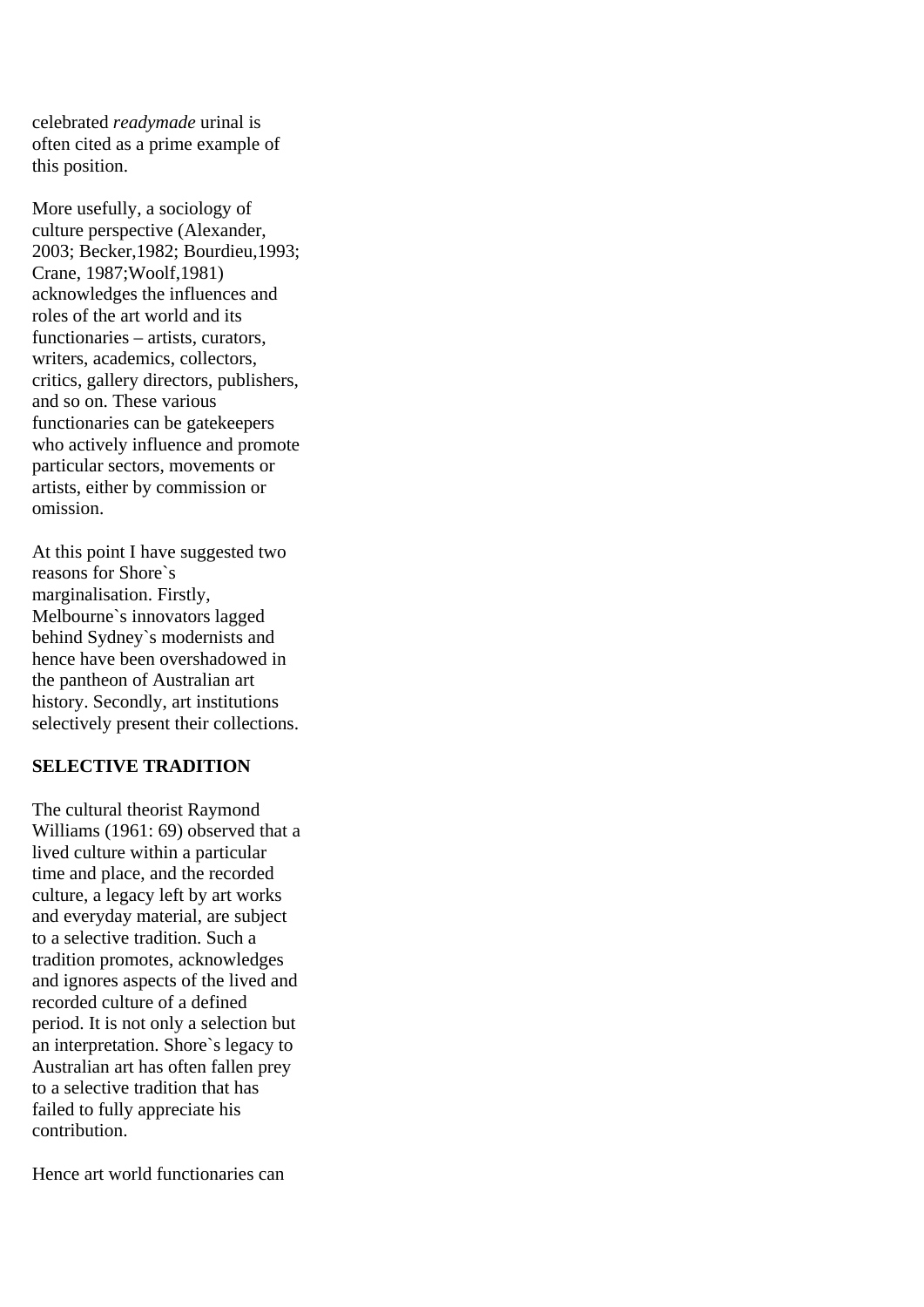celebrated *readymade* urinal is often cited as a prime example of this position.

More usefully, a sociology of culture perspective (Alexander, 2003; Becker,1982; Bourdieu,1993; Crane, 1987;Woolf,1981) acknowledges the influences and roles of the art world and its functionaries – artists, curators, writers, academics, collectors, critics, gallery directors, publishers, and so on. These various functionaries can be gatekeepers who actively influence and promote particular sectors, movements or artists, either by commission or omission.

At this point I have suggested two reasons for Shore`s marginalisation. Firstly, Melbourne`s innovators lagged behind Sydney`s modernists and hence have been overshadowed in the pantheon of Australian art history. Secondly, art institutions selectively present their collections.

## **SELECTIVE TRADITION**

The cultural theorist Raymond Williams (1961: 69) observed that a lived culture within a particular time and place, and the recorded culture, a legacy left by art works and everyday material, are subject to a selective tradition. Such a tradition promotes, acknowledges and ignores aspects of the lived and recorded culture of a defined period. It is not only a selection but an interpretation. Shore`s legacy to Australian art has often fallen prey to a selective tradition that has failed to fully appreciate his contribution.

Hence art world functionaries can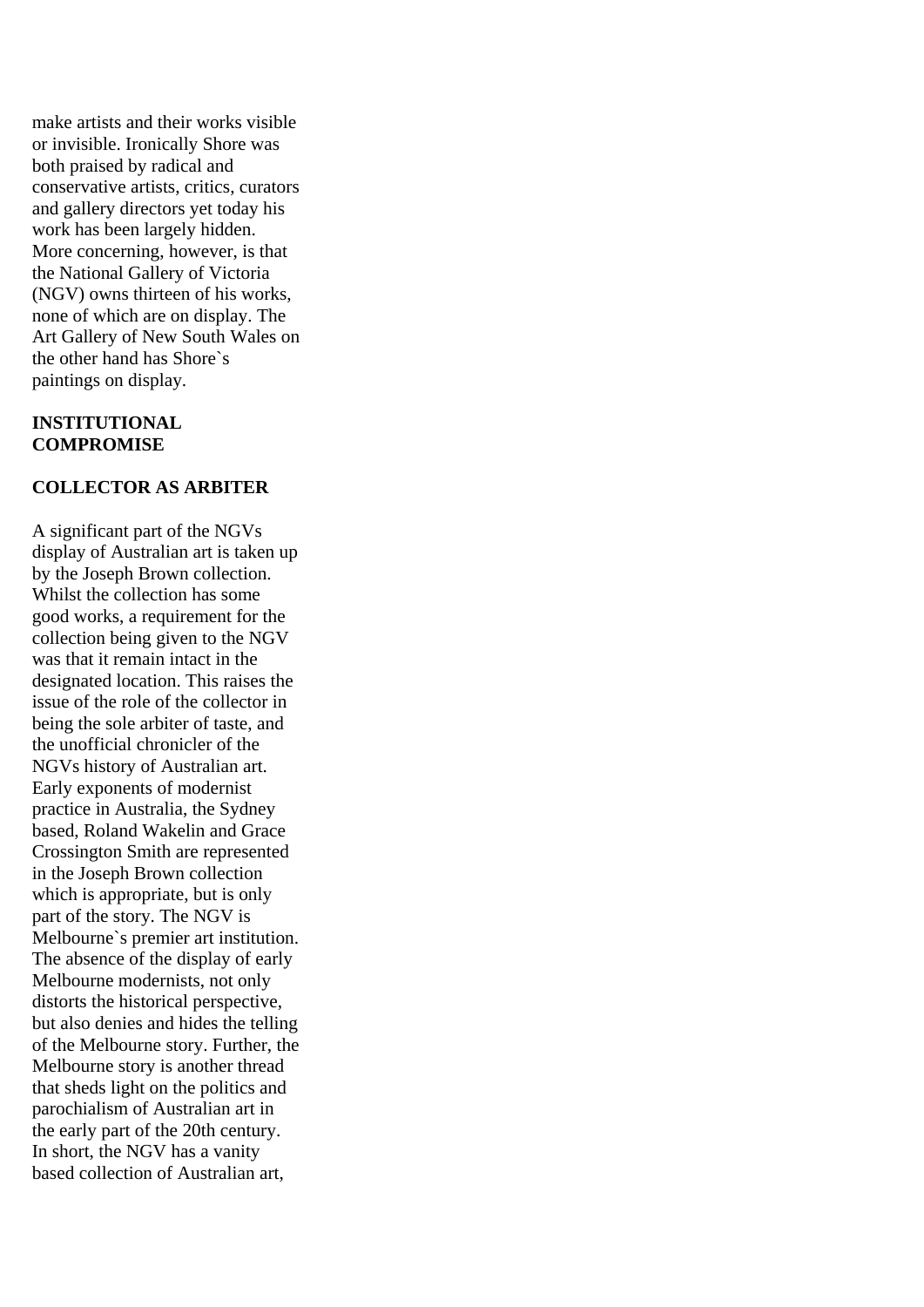make artists and their works visible or invisible. Ironically Shore was both praised by radical and conservative artists, critics, curators and gallery directors yet today his work has been largely hidden. More concerning, however, is that the National Gallery of Victoria (NGV) owns thirteen of his works, none of which are on display. The Art Gallery of New South Wales on the other hand has Shore`s paintings on display.

#### **INSTITUTIONAL COMPROMISE**

#### **COLLECTOR AS ARBITER**

A significant part of the NGVs display of Australian art is taken up by the Joseph Brown collection. Whilst the collection has some good works, a requirement for the collection being given to the NGV was that it remain intact in the designated location. This raises the issue of the role of the collector in being the sole arbiter of taste, and the unofficial chronicler of the NGVs history of Australian art. Early exponents of modernist practice in Australia, the Sydney based, Roland Wakelin and Grace Crossington Smith are represented in the Joseph Brown collection which is appropriate, but is only part of the story. The NGV is Melbourne`s premier art institution. The absence of the display of early Melbourne modernists, not only distorts the historical perspective, but also denies and hides the telling of the Melbourne story. Further, the Melbourne story is another thread that sheds light on the politics and parochialism of Australian art in the early part of the 20th century. In short, the NGV has a vanity based collection of Australian art,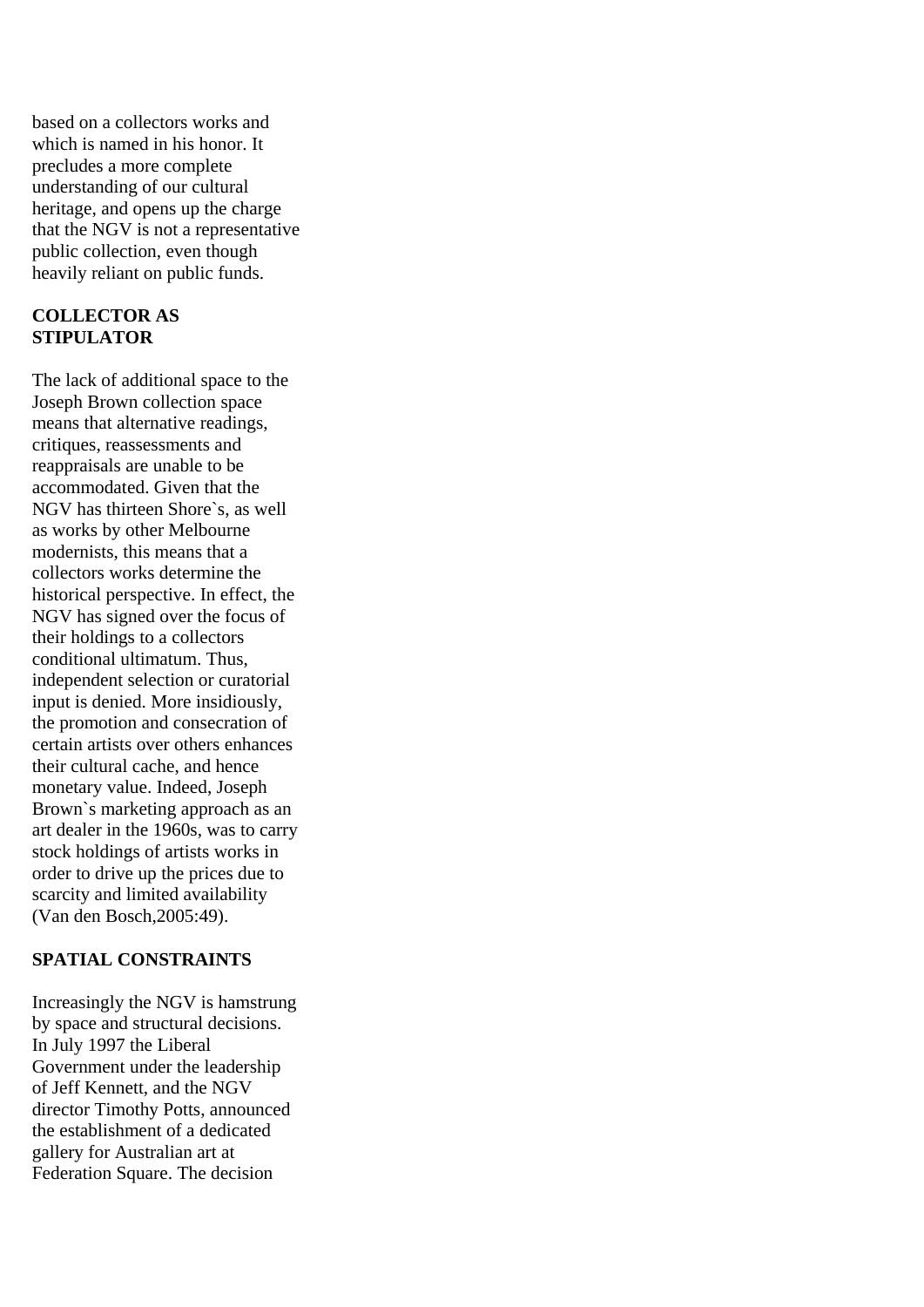based on a collectors works and which is named in his honor. It precludes a more complete understanding of our cultural heritage, and opens up the charge that the NGV is not a representative public collection, even though heavily reliant on public funds.

#### **COLLECTOR AS STIPULATOR**

The lack of additional space to the Joseph Brown collection space means that alternative readings, critiques, reassessments and reappraisals are unable to be accommodated. Given that the NGV has thirteen Shore`s, as well as works by other Melbourne modernists, this means that a collectors works determine the historical perspective. In effect, the NGV has signed over the focus of their holdings to a collectors conditional ultimatum. Thus, independent selection or curatorial input is denied. More insidiously, the promotion and consecration of certain artists over others enhances their cultural cache, and hence monetary value. Indeed, Joseph Brown`s marketing approach as an art dealer in the 1960s, was to carry stock holdings of artists works in order to drive up the prices due to scarcity and limited availability (Van den Bosch,2005:49).

## **SPATIAL CONSTRAINTS**

Increasingly the NGV is hamstrung by space and structural decisions. In July 1997 the Liberal Government under the leadership of Jeff Kennett, and the NGV director Timothy Potts, announced the establishment of a dedicated gallery for Australian art at Federation Square. The decision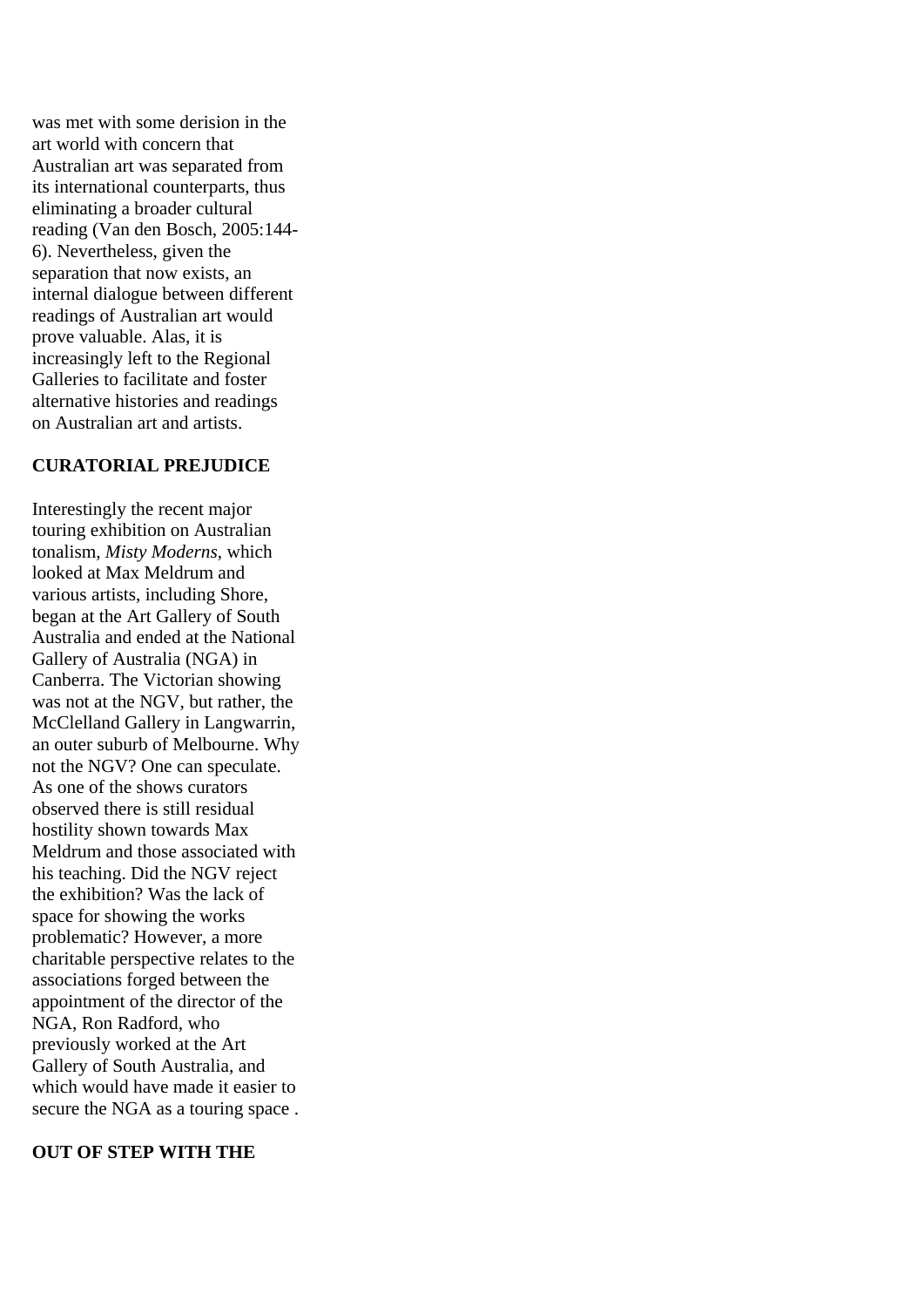was met with some derision in the art world with concern that Australian art was separated from its international counterparts, thus eliminating a broader cultural reading (Van den Bosch, 2005:144- 6). Nevertheless, given the separation that now exists, an internal dialogue between different readings of Australian art would prove valuable. Alas, it is increasingly left to the Regional Galleries to facilitate and foster alternative histories and readings on Australian art and artists.

## **CURATORIAL PREJUDICE**

Interestingly the recent major touring exhibition on Australian tonalism, *Misty Moderns*, which looked at Max Meldrum and various artists, including Shore, began at the Art Gallery of South Australia and ended at the National Gallery of Australia (NGA) in Canberra. The Victorian showing was not at the NGV, but rather, the McClelland Gallery in Langwarrin, an outer suburb of Melbourne. Why not the NGV? One can speculate. As one of the shows curators observed there is still residual hostility shown towards Max Meldrum and those associated with his teaching. Did the NGV reject the exhibition? Was the lack of space for showing the works problematic? However, a more charitable perspective relates to the associations forged between the appointment of the director of the NGA, Ron Radford, who previously worked at the Art Gallery of South Australia, and which would have made it easier to secure the NGA as a touring space .

#### **OUT OF STEP WITH THE**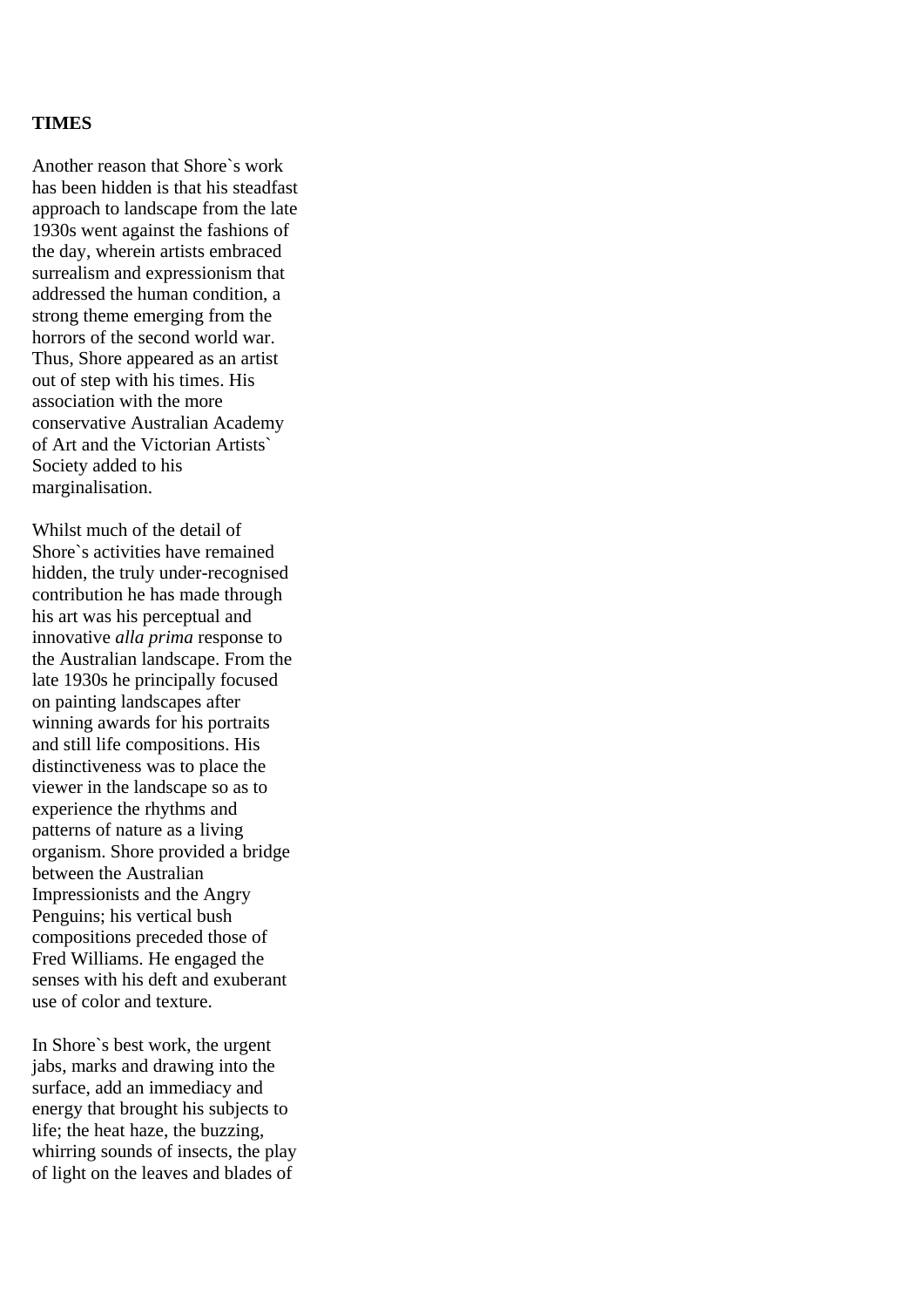#### **TIMES**

Another reason that Shore`s work has been hidden is that his steadfast approach to landscape from the late 1930s went against the fashions of the day, wherein artists embraced surrealism and expressionism that addressed the human condition, a strong theme emerging from the horrors of the second world war. Thus, Shore appeared as an artist out of step with his times. His association with the more conservative Australian Academy of Art and the Victorian Artists` Society added to his marginalisation.

Whilst much of the detail of Shore`s activities have remained hidden, the truly under-recognised contribution he has made through his art was his perceptual and innovative *alla prima* response to the Australian landscape. From the late 1930s he principally focused on painting landscapes after winning awards for his portraits and still life compositions. His distinctiveness was to place the viewer in the landscape so as to experience the rhythms and patterns of nature as a living organism. Shore provided a bridge between the Australian Impressionists and the Angry Penguins; his vertical bush compositions preceded those of Fred Williams. He engaged the senses with his deft and exuberant use of color and texture.

In Shore`s best work, the urgent jabs, marks and drawing into the surface, add an immediacy and energy that brought his subjects to life; the heat haze, the buzzing, whirring sounds of insects, the play of light on the leaves and blades of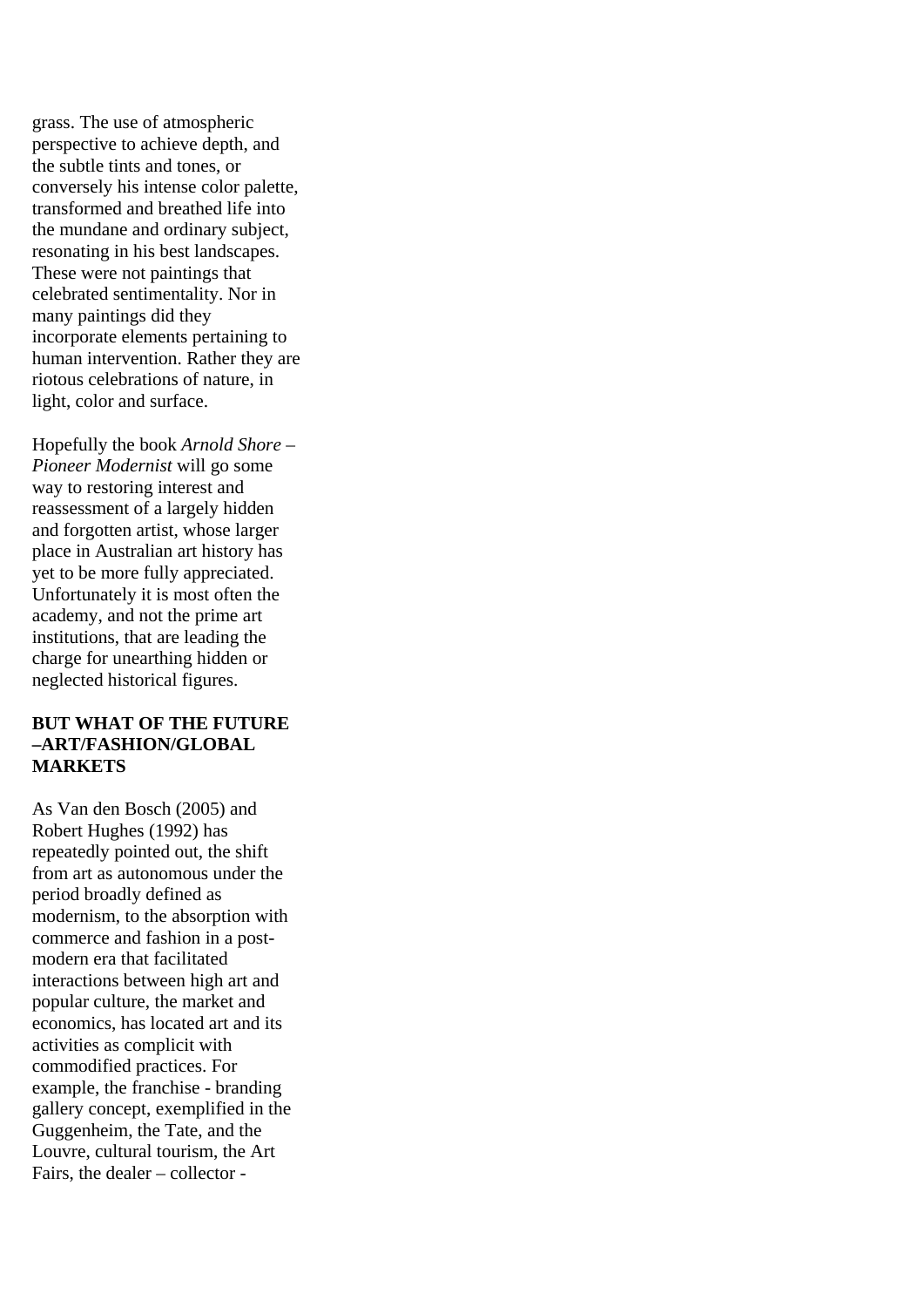grass. The use of atmospheric perspective to achieve depth, and the subtle tints and tones, or conversely his intense color palette, transformed and breathed life into the mundane and ordinary subject, resonating in his best landscapes. These were not paintings that celebrated sentimentality. Nor in many paintings did they incorporate elements pertaining to human intervention. Rather they are riotous celebrations of nature, in light, color and surface.

Hopefully the book *Arnold Shore – Pioneer Modernist* will go some way to restoring interest and reassessment of a largely hidden and forgotten artist, whose larger place in Australian art history has yet to be more fully appreciated. Unfortunately it is most often the academy, and not the prime art institutions, that are leading the charge for unearthing hidden or neglected historical figures.

#### **BUT WHAT OF THE FUTURE –ART/FASHION/GLOBAL MARKETS**

As Van den Bosch (2005) and Robert Hughes (1992) has repeatedly pointed out, the shift from art as autonomous under the period broadly defined as modernism, to the absorption with commerce and fashion in a postmodern era that facilitated interactions between high art and popular culture, the market and economics, has located art and its activities as complicit with commodified practices. For example, the franchise - branding gallery concept, exemplified in the Guggenheim, the Tate, and the Louvre, cultural tourism, the Art Fairs, the dealer – collector -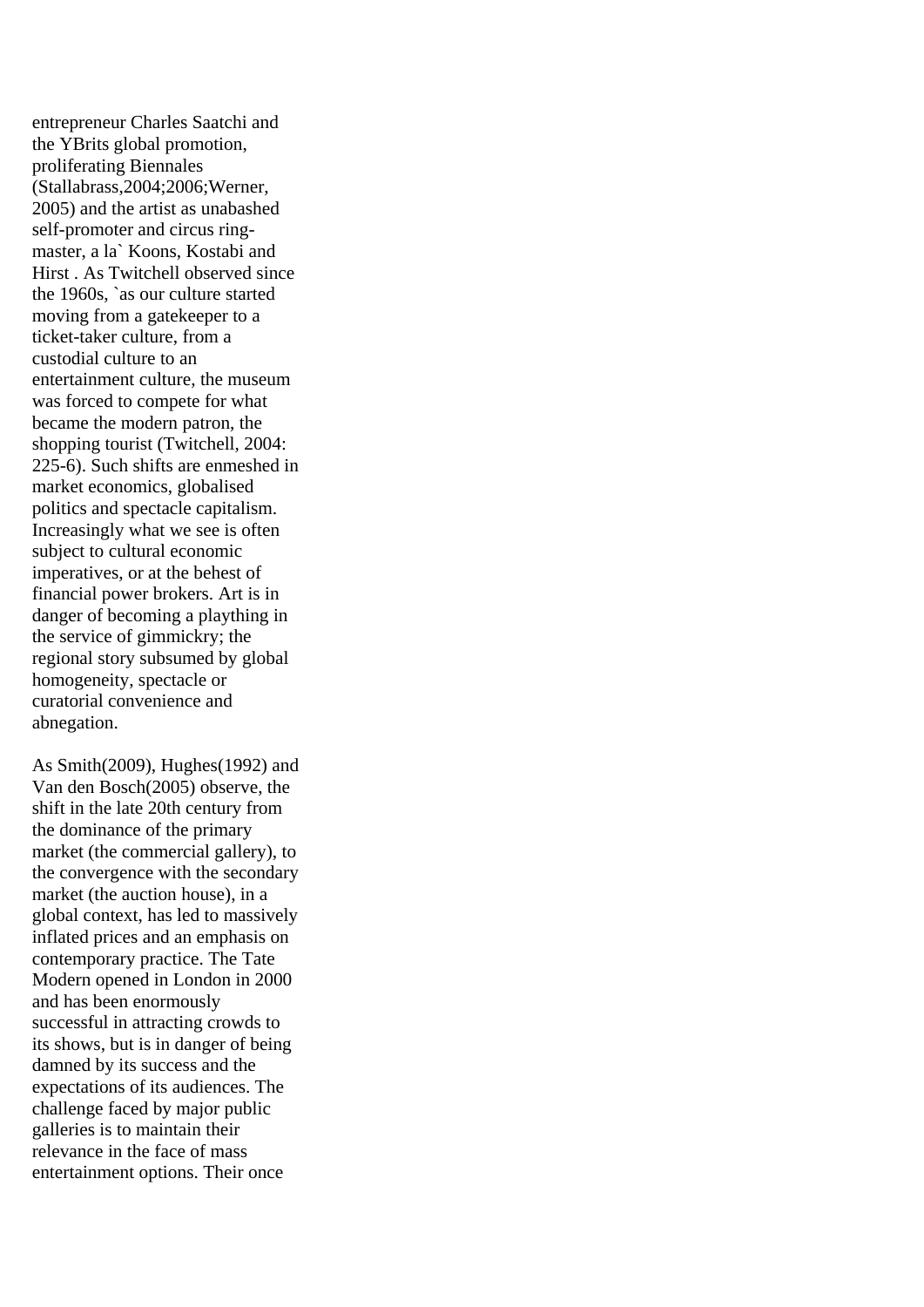entrepreneur Charles Saatchi and the YBrits global promotion, proliferating Biennales (Stallabrass,2004;2006;Werner, 2005) and the artist as unabashed self-promoter and circus ringmaster, a la` Koons, Kostabi and Hirst . As Twitchell observed since the 1960s, `as our culture started moving from a gatekeeper to a ticket-taker culture, from a custodial culture to an entertainment culture, the museum was forced to compete for what became the modern patron, the shopping tourist (Twitchell, 2004: 225-6). Such shifts are enmeshed in market economics, globalised politics and spectacle capitalism. Increasingly what we see is often subject to cultural economic imperatives, or at the behest of financial power brokers. Art is in danger of becoming a plaything in the service of gimmickry; the regional story subsumed by global homogeneity, spectacle or curatorial convenience and abnegation.

As Smith(2009), Hughes(1992) and Van den Bosch(2005) observe, the shift in the late 20th century from the dominance of the primary market (the commercial gallery), to the convergence with the secondary market (the auction house), in a global context, has led to massively inflated prices and an emphasis on contemporary practice. The Tate Modern opened in London in 2000 and has been enormously successful in attracting crowds to its shows, but is in danger of being damned by its success and the expectations of its audiences. The challenge faced by major public galleries is to maintain their relevance in the face of mass entertainment options. Their once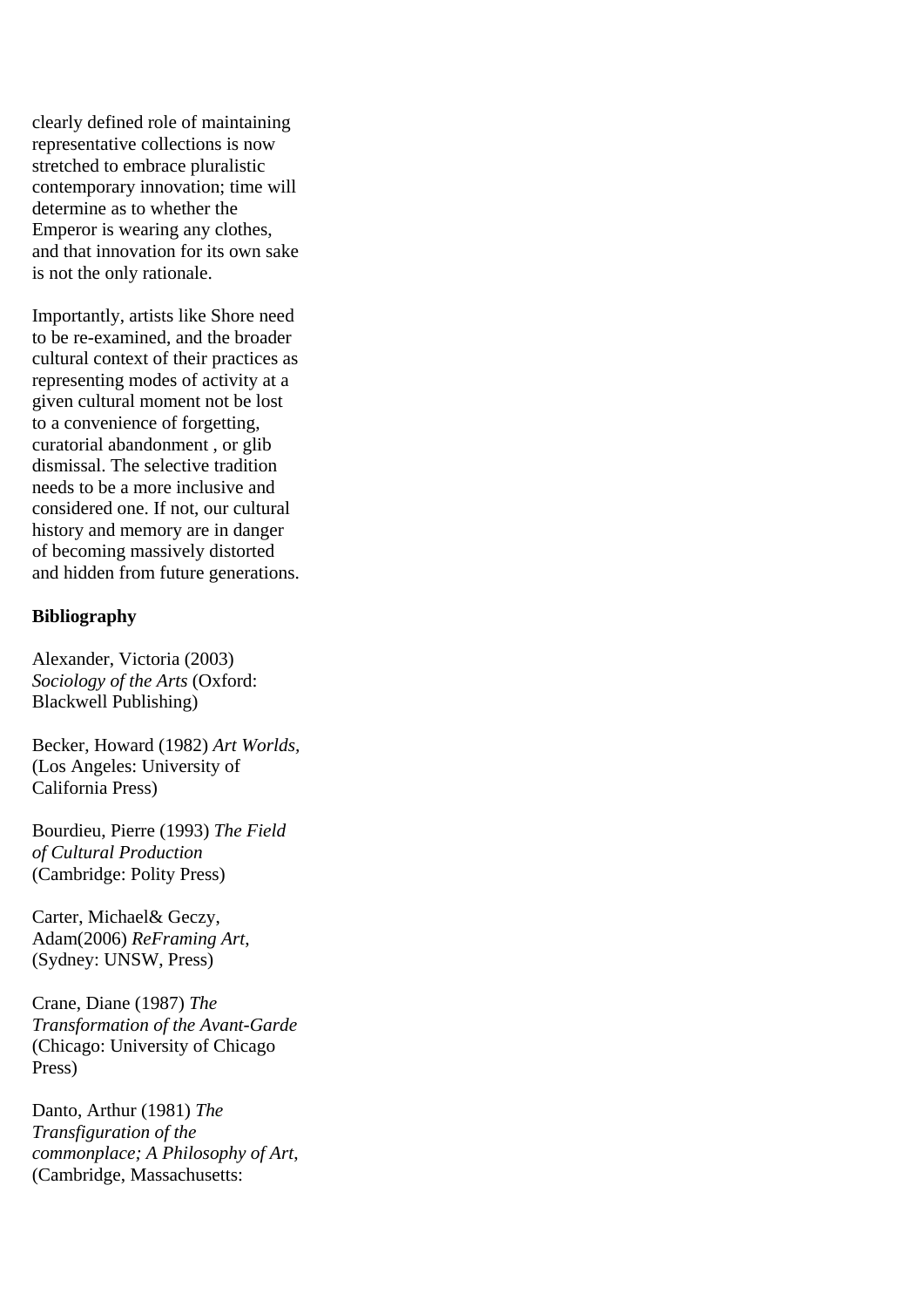clearly defined role of maintaining representative collections is now stretched to embrace pluralistic contemporary innovation; time will determine as to whether the Emperor is wearing any clothes, and that innovation for its own sake is not the only rationale.

Importantly, artists like Shore need to be re-examined, and the broader cultural context of their practices as representing modes of activity at a given cultural moment not be lost to a convenience of forgetting, curatorial abandonment , or glib dismissal. The selective tradition needs to be a more inclusive and considered one. If not, our cultural history and memory are in danger of becoming massively distorted and hidden from future generations.

#### **Bibliography**

Alexander, Victoria (2003) *Sociology of the Arts* (Oxford: Blackwell Publishing)

Becker, Howard (1982) *Art Worlds,* (Los Angeles: University of California Press)

Bourdieu, Pierre (1993) *The Field of Cultural Production* (Cambridge: Polity Press)

Carter, Michael& Geczy, Adam(2006) *ReFraming Art*, (Sydney: UNSW, Press)

Crane, Diane (1987) *The Transformation of the Avant-Garde* (Chicago: University of Chicago Press)

Danto, Arthur (1981) *The Transfiguration of the commonplace; A Philosophy of Art*, (Cambridge, Massachusetts: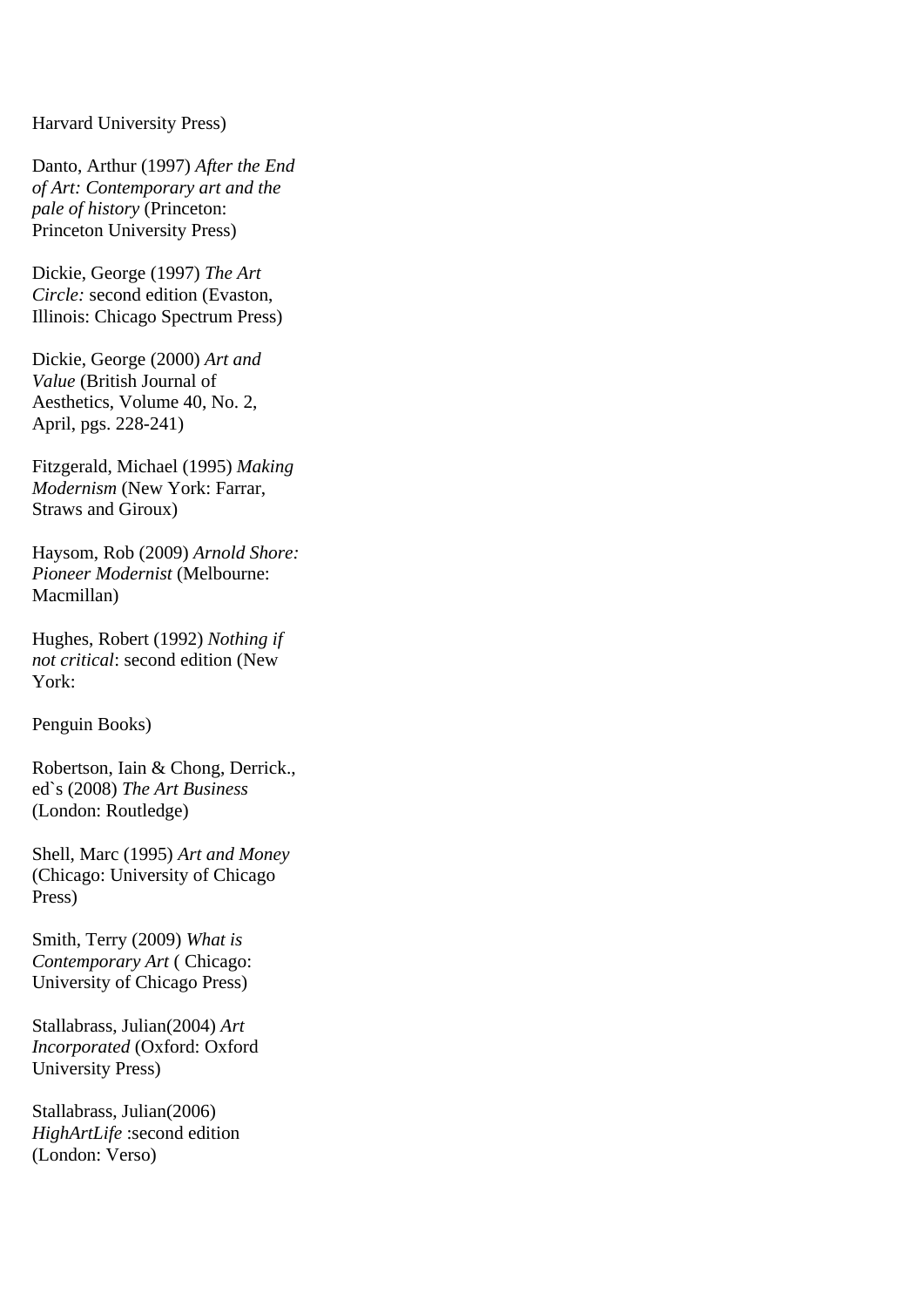#### Harvard University Press)

Danto, Arthur (1997) *After the End of Art: Contemporary art and the pale of history* (Princeton: Princeton University Press)

Dickie, George (1997) *The Art Circle:* second edition (Evaston, Illinois: Chicago Spectrum Press)

Dickie, George (2000) *Art and Value* (British Journal of Aesthetics, Volume 40, No. 2, April, pgs. 228-241)

Fitzgerald, Michael (1995) *Making Modernism* (New York: Farrar, Straws and Giroux)

Haysom, Rob (2009) *Arnold Shore: Pioneer Modernist* (Melbourne: Macmillan)

Hughes, Robert (1992) *Nothing if not critical*: second edition (New York:

Penguin Books)

Robertson, Iain & Chong, Derrick., ed`s (2008) *The Art Business* (London: Routledge)

Shell, Marc (1995) *Art and Money* (Chicago: University of Chicago Press)

Smith, Terry (2009) *What is Contemporary Art* ( Chicago: University of Chicago Press)

Stallabrass, Julian(2004) *Art Incorporated* (Oxford: Oxford University Press)

Stallabrass, Julian(2006) *HighArtLife* :second edition (London: Verso)